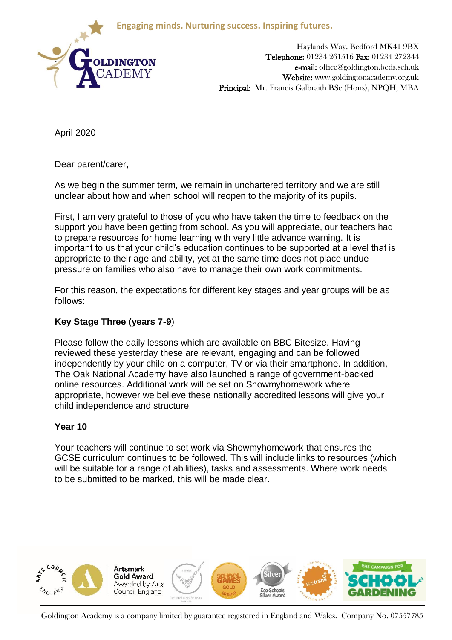**Engaging minds. Nurturing success. Inspiring futures.**



Haylands Way, Bedford MK41 9BX Telephone: 01234 261516 Fax: 01234 272344 e-mail: office@goldington.beds.sch.uk Website: www.goldingtonacademy.org.uk Principal: Mr. Francis Galbraith BSc (Hons), NPQH, MBA

April 2020

Dear parent/carer,

As we begin the summer term, we remain in unchartered territory and we are still unclear about how and when school will reopen to the majority of its pupils.

First, I am very grateful to those of you who have taken the time to feedback on the support you have been getting from school. As you will appreciate, our teachers had to prepare resources for home learning with very little advance warning. It is important to us that your child's education continues to be supported at a level that is appropriate to their age and ability, yet at the same time does not place undue pressure on families who also have to manage their own work commitments.

For this reason, the expectations for different key stages and year groups will be as follows:

## **Key Stage Three (years 7-9**)

Please follow the daily lessons which are available on BBC Bitesize. Having reviewed these yesterday these are relevant, engaging and can be followed independently by your child on a computer, TV or via their smartphone. In addition, The Oak National Academy have also launched a range of government-backed online resources. Additional work will be set on Showmyhomework where appropriate, however we believe these nationally accredited lessons will give your child independence and structure.

## **Year 10**

Your teachers will continue to set work via Showmyhomework that ensures the GCSE curriculum continues to be followed. This will include links to resources (which will be suitable for a range of abilities), tasks and assessments. Where work needs to be submitted to be marked, this will be made clear.



Goldington Academy is a company limited by guarantee registered in England and Wales. Company No. 07557785